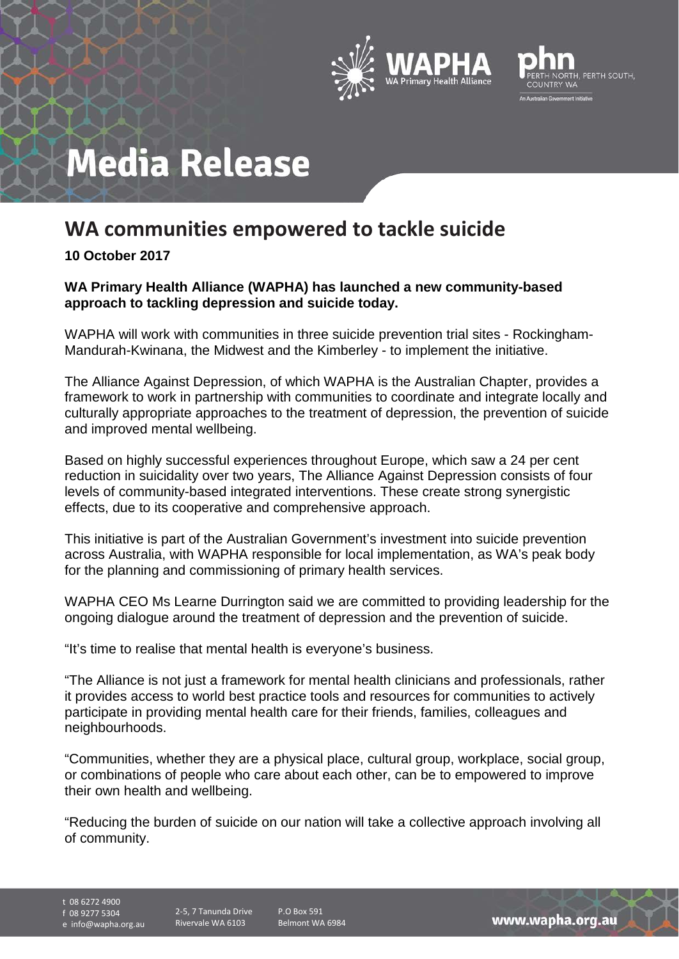



# **Media Release**

# **WA communities empowered to tackle suicide**

## **10 October 2017**

### **WA Primary Health Alliance (WAPHA) has launched a new community-based approach to tackling depression and suicide today.**

WAPHA will work with communities in three suicide prevention trial sites - Rockingham-Mandurah-Kwinana, the Midwest and the Kimberley - to implement the initiative.

The Alliance Against Depression, of which WAPHA is the Australian Chapter, provides a framework to work in partnership with communities to coordinate and integrate locally and culturally appropriate approaches to the treatment of depression, the prevention of suicide and improved mental wellbeing.

Based on highly successful experiences throughout Europe, which saw a 24 per cent reduction in suicidality over two years, The Alliance Against Depression consists of four levels of community-based integrated interventions. These create strong synergistic effects, due to its cooperative and comprehensive approach.

This initiative is part of the Australian Government's investment into suicide prevention across Australia, with WAPHA responsible for local implementation, as WA's peak body for the planning and commissioning of primary health services.

WAPHA CEO Ms Learne Durrington said we are committed to providing leadership for the ongoing dialogue around the treatment of depression and the prevention of suicide.

"It's time to realise that mental health is everyone's business.

"The Alliance is not just a framework for mental health clinicians and professionals, rather it provides access to world best practice tools and resources for communities to actively participate in providing mental health care for their friends, families, colleagues and neighbourhoods.

"Communities, whether they are a physical place, cultural group, workplace, social group, or combinations of people who care about each other, can be to empowered to improve their own health and wellbeing.

"Reducing the burden of suicide on our nation will take a collective approach involving all of community.

t 08 6272 4900

f 08 9277 5304

e info@wapha.org.au

2-5, 7 Tanunda Drive Rivervale WA 6103

P.O Box 591 Belmont WA 6984

www.wapha.org.au